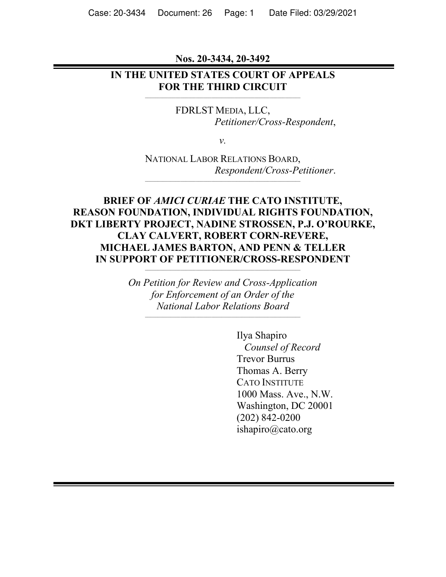**Nos. 20-3434, 20-3492**

#### **IN THE UNITED STATES COURT OF APPEALS FOR THE THIRD CIRCUIT**  $\_$  , and the set of the set of the set of the set of the set of the set of the set of the set of the set of the set of the set of the set of the set of the set of the set of the set of the set of the set of the set of th

FDRLST MEDIA, LLC, *Petitioner/Cross-Respondent*,

*v.*

\_\_\_\_\_\_\_\_\_\_\_\_\_\_\_\_\_\_\_\_\_\_\_\_\_\_\_\_\_\_\_\_\_\_\_\_\_\_\_\_\_\_\_\_\_\_\_\_\_\_\_\_\_\_\_\_\_\_\_\_\_

NATIONAL LABOR RELATIONS BOARD, *Respondent/Cross-Petitioner*.

### **BRIEF OF** *AMICI CURIAE* **THE CATO INSTITUTE, REASON FOUNDATION, INDIVIDUAL RIGHTS FOUNDATION, DKT LIBERTY PROJECT, NADINE STROSSEN, P.J. O'ROURKE, CLAY CALVERT, ROBERT CORN-REVERE, MICHAEL JAMES BARTON, AND PENN & TELLER IN SUPPORT OF PETITIONER/CROSS-RESPONDENT**

*On Petition for Review and Cross-Application for Enforcement of an Order of the National Labor Relations Board*

\_\_\_\_\_\_\_\_\_\_\_\_\_\_\_\_\_\_\_\_\_\_\_\_\_\_\_\_\_\_\_\_\_\_\_\_\_\_\_\_\_\_\_\_\_\_\_\_\_\_\_\_\_\_\_\_\_\_\_\_\_

 $\mathcal{L}_\text{max}$  and the contract of the contract of the contract of the contract of the contract of the contract of

Ilya Shapiro *Counsel of Record* Trevor Burrus Thomas A. Berry CATO INSTITUTE 1000 Mass. Ave., N.W. Washington, DC 20001 (202) 842-0200 ishapiro@cato.org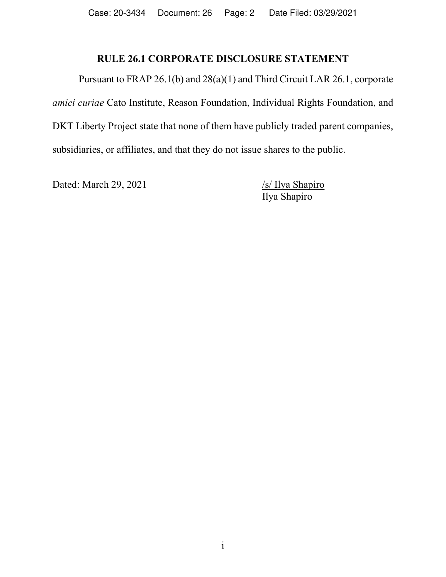## **RULE 26.1 CORPORATE DISCLOSURE STATEMENT**

Pursuant to FRAP 26.1(b) and 28(a)(1) and Third Circuit LAR 26.1, corporate *amici curiae* Cato Institute, Reason Foundation, Individual Rights Foundation, and DKT Liberty Project state that none of them have publicly traded parent companies, subsidiaries, or affiliates, and that they do not issue shares to the public.

Dated: March 29, 2021 /s/ Ilya Shapiro

Ilya Shapiro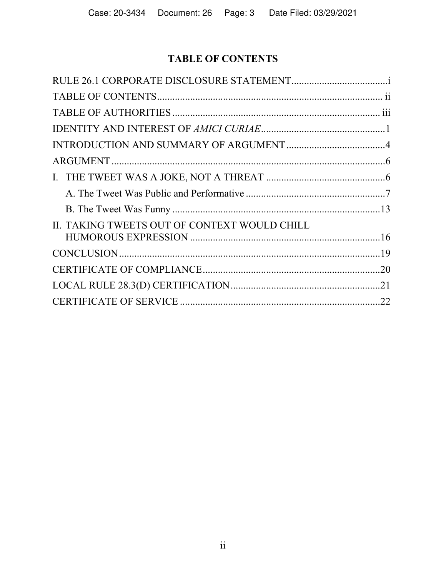# **TABLE OF CONTENTS**

| II. TAKING TWEETS OUT OF CONTEXT WOULD CHILL |  |
|----------------------------------------------|--|
|                                              |  |
|                                              |  |
|                                              |  |
|                                              |  |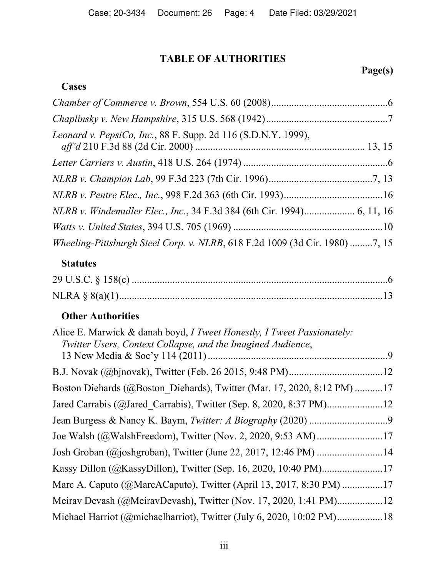# **TABLE OF AUTHORITIES**

# **Page(s)**

# **Cases**

| Leonard v. PepsiCo, Inc., 88 F. Supp. 2d 116 (S.D.N.Y. 1999),               |  |
|-----------------------------------------------------------------------------|--|
|                                                                             |  |
|                                                                             |  |
|                                                                             |  |
|                                                                             |  |
|                                                                             |  |
| Wheeling-Pittsburgh Steel Corp. v. NLRB, 618 F.2d 1009 (3d Cir. 1980) 7, 15 |  |

# **Statutes**

# **Other Authorities**

| Alice E. Marwick & danah boyd, I Tweet Honestly, I Tweet Passionately:<br>Twitter Users, Context Collapse, and the Imagined Audience, |  |
|---------------------------------------------------------------------------------------------------------------------------------------|--|
|                                                                                                                                       |  |
| Boston Diehards (@Boston Diehards), Twitter (Mar. 17, 2020, 8:12 PM) 17                                                               |  |
|                                                                                                                                       |  |
|                                                                                                                                       |  |
|                                                                                                                                       |  |
|                                                                                                                                       |  |
|                                                                                                                                       |  |
| Marc A. Caputo (@MarcACaputo), Twitter (April 13, 2017, 8:30 PM) 17                                                                   |  |
| Meirav Devash (@MeiravDevash), Twitter (Nov. 17, 2020, 1:41 PM)12                                                                     |  |
| Michael Harriot (@michaelharriot), Twitter (July 6, 2020, 10:02 PM)18                                                                 |  |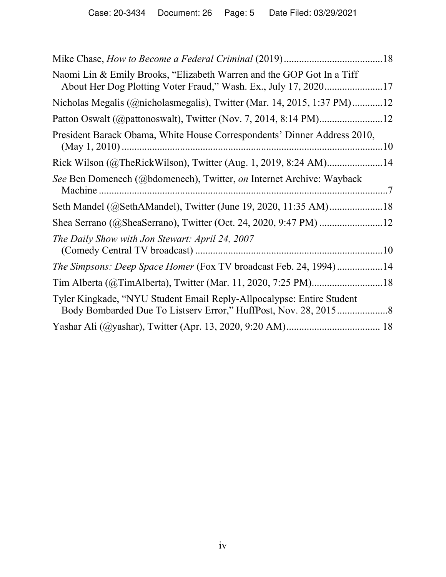| Naomi Lin & Emily Brooks, "Elizabeth Warren and the GOP Got In a Tiff<br>About Her Dog Plotting Voter Fraud," Wash. Ex., July 17, 202017 |  |
|------------------------------------------------------------------------------------------------------------------------------------------|--|
| Nicholas Megalis (@nicholasmegalis), Twitter (Mar. 14, 2015, 1:37 PM)12                                                                  |  |
| Patton Oswalt (@pattonoswalt), Twitter (Nov. 7, 2014, 8:14 PM)12                                                                         |  |
| President Barack Obama, White House Correspondents' Dinner Address 2010,                                                                 |  |
| Rick Wilson (@TheRickWilson), Twitter (Aug. 1, 2019, 8:24 AM)14                                                                          |  |
| See Ben Domenech (@bdomenech), Twitter, on Internet Archive: Wayback                                                                     |  |
| Seth Mandel (@SethAMandel), Twitter (June 19, 2020, 11:35 AM)18                                                                          |  |
|                                                                                                                                          |  |
| The Daily Show with Jon Stewart: April 24, 2007                                                                                          |  |
| <i>The Simpsons: Deep Space Homer</i> (Fox TV broadcast Feb. 24, 1994)14                                                                 |  |
|                                                                                                                                          |  |
| Tyler Kingkade, "NYU Student Email Reply-Allpocalypse: Entire Student                                                                    |  |
|                                                                                                                                          |  |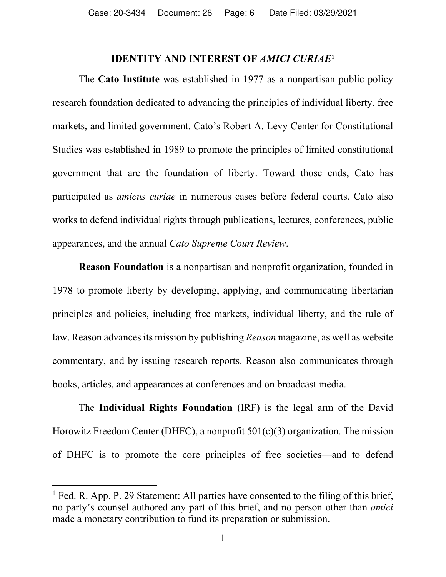#### **IDENTITY AND INTEREST OF** *AMICI CURIAE***[1](#page-5-0)**

The **Cato Institute** was established in 1977 as a nonpartisan public policy research foundation dedicated to advancing the principles of individual liberty, free markets, and limited government. Cato's Robert A. Levy Center for Constitutional Studies was established in 1989 to promote the principles of limited constitutional government that are the foundation of liberty. Toward those ends, Cato has participated as *amicus curiae* in numerous cases before federal courts. Cato also works to defend individual rights through publications, lectures, conferences, public appearances, and the annual *Cato Supreme Court Review*.

**Reason Foundation** is a nonpartisan and nonprofit organization, founded in 1978 to promote liberty by developing, applying, and communicating libertarian principles and policies, including free markets, individual liberty, and the rule of law. Reason advances its mission by publishing *Reason* magazine, as well as website commentary, and by issuing research reports. Reason also communicates through books, articles, and appearances at conferences and on broadcast media.

The **Individual Rights Foundation** (IRF) is the legal arm of the David Horowitz Freedom Center (DHFC), a nonprofit 501(c)(3) organization. The mission of DHFC is to promote the core principles of free societies—and to defend

<span id="page-5-0"></span> $<sup>1</sup>$  Fed. R. App. P. 29 Statement: All parties have consented to the filing of this brief,</sup> no party's counsel authored any part of this brief, and no person other than *amici* made a monetary contribution to fund its preparation or submission.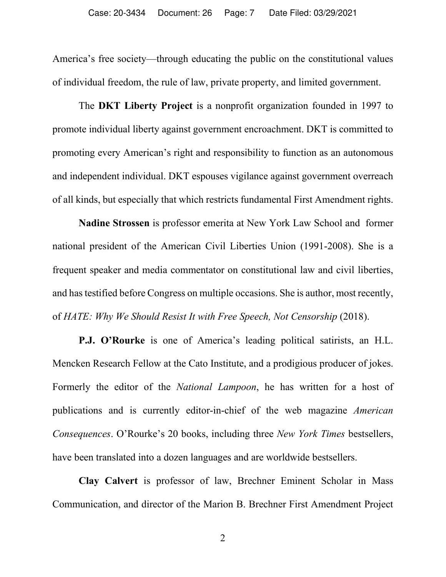America's free society—through educating the public on the constitutional values of individual freedom, the rule of law, private property, and limited government.

The **DKT Liberty Project** is a nonprofit organization founded in 1997 to promote individual liberty against government encroachment. DKT is committed to promoting every American's right and responsibility to function as an autonomous and independent individual. DKT espouses vigilance against government overreach of all kinds, but especially that which restricts fundamental First Amendment rights.

**Nadine Strossen** is professor emerita at New York Law School and former national president of the American Civil Liberties Union (1991-2008). She is a frequent speaker and media commentator on constitutional law and civil liberties, and has testified before Congress on multiple occasions. She is author, most recently, of *HATE: Why We Should Resist It with Free Speech, Not Censorship* (2018).

**P.J. O'Rourke** is one of America's leading political satirists, an H.L. Mencken Research Fellow at the Cato Institute, and a prodigious producer of jokes. Formerly the editor of the *National Lampoon*, he has written for a host of publications and is currently editor-in-chief of the web magazine *American Consequences*. O'Rourke's 20 books, including three *New York Times* bestsellers, have been translated into a dozen languages and are worldwide bestsellers.

**Clay Calvert** is professor of law, Brechner Eminent Scholar in Mass Communication, and director of the Marion B. Brechner First Amendment Project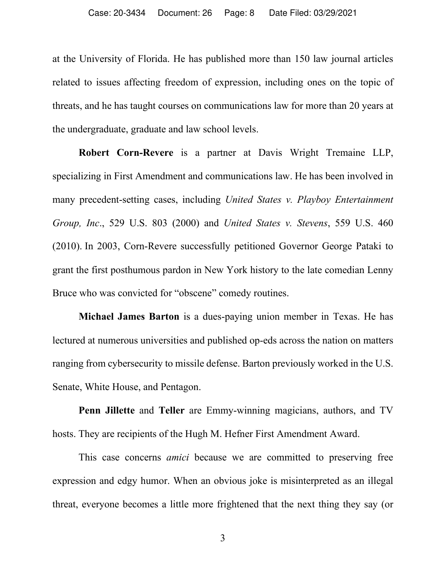at the University of Florida. He has published more than 150 law journal articles related to issues affecting freedom of expression, including ones on the topic of threats, and he has taught courses on communications law for more than 20 years at the undergraduate, graduate and law school levels.

**Robert Corn-Revere** is a partner at Davis Wright Tremaine LLP, specializing in First Amendment and communications law. He has been involved in many precedent-setting cases, including *United States v. Playboy Entertainment Group, Inc*., 529 U.S. 803 (2000) and *United States v. Stevens*, 559 U.S. 460 (2010). In 2003, Corn-Revere successfully petitioned Governor George Pataki to grant the first posthumous pardon in New York history to the late comedian Lenny Bruce who was convicted for "obscene" comedy routines.

**Michael James Barton** is a dues-paying union member in Texas. He has lectured at numerous universities and published op-eds across the nation on matters ranging from cybersecurity to missile defense. Barton previously worked in the U.S. Senate, White House, and Pentagon.

**Penn Jillette** and **Teller** are Emmy-winning magicians, authors, and TV hosts. They are recipients of the Hugh M. Hefner First Amendment Award.

This case concerns *amici* because we are committed to preserving free expression and edgy humor. When an obvious joke is misinterpreted as an illegal threat, everyone becomes a little more frightened that the next thing they say (or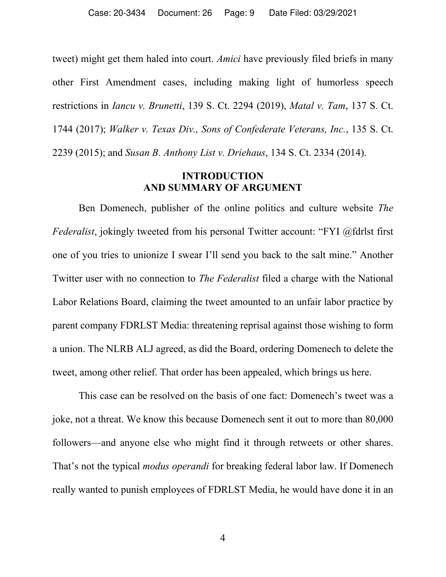tweet) might get them haled into court. *Amici* have previously filed briefs in many other First Amendment cases, including making light of humorless speech restrictions in *Iancu v. Brunetti*, 139 S. Ct. 2294 (2019), *Matal v. Tam*, 137 S. Ct. 1744 (2017); *Walker v. Texas Div., Sons of Confederate Veterans, Inc.*, 135 S. Ct. 2239 (2015); and *Susan B. Anthony List v. Driehaus*, 134 S. Ct. 2334 (2014).

#### **INTRODUCTION AND SUMMARY OF ARGUMENT**

Ben Domenech, publisher of the online politics and culture website *The Federalist*, jokingly tweeted from his personal Twitter account: "FYI @fdrlst first one of you tries to unionize I swear I'll send you back to the salt mine." Another Twitter user with no connection to *The Federalist* filed a charge with the National Labor Relations Board, claiming the tweet amounted to an unfair labor practice by parent company FDRLST Media: threatening reprisal against those wishing to form a union. The NLRB ALJ agreed, as did the Board, ordering Domenech to delete the tweet, among other relief. That order has been appealed, which brings us here.

This case can be resolved on the basis of one fact: Domenech's tweet was a joke, not a threat. We know this because Domenech sent it out to more than 80,000 followers—and anyone else who might find it through retweets or other shares. That's not the typical *modus operandi* for breaking federal labor law. If Domenech really wanted to punish employees of FDRLST Media, he would have done it in an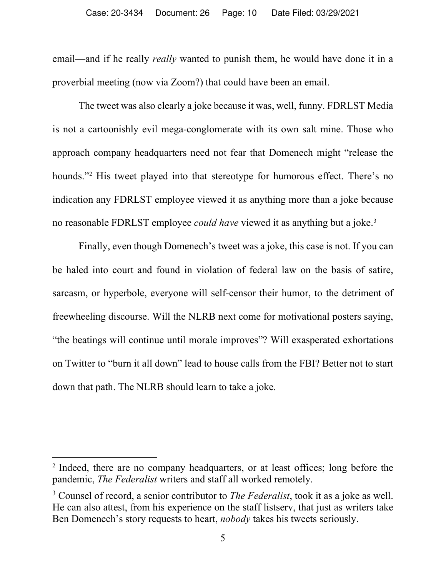email—and if he really *really* wanted to punish them, he would have done it in a proverbial meeting (now via Zoom?) that could have been an email.

The tweet was also clearly a joke because it was, well, funny. FDRLST Media is not a cartoonishly evil mega-conglomerate with its own salt mine. Those who approach company headquarters need not fear that Domenech might "release the hounds."<sup>[2](#page-9-0)</sup> His tweet played into that stereotype for humorous effect. There's no indication any FDRLST employee viewed it as anything more than a joke because no reasonable FDRLST employee *could have* viewed it as anything but a joke.[3](#page-9-1)

Finally, even though Domenech's tweet was a joke, this case is not. If you can be haled into court and found in violation of federal law on the basis of satire, sarcasm, or hyperbole, everyone will self-censor their humor, to the detriment of freewheeling discourse. Will the NLRB next come for motivational posters saying, "the beatings will continue until morale improves"? Will exasperated exhortations on Twitter to "burn it all down" lead to house calls from the FBI? Better not to start down that path. The NLRB should learn to take a joke.

<span id="page-9-0"></span><sup>2</sup> Indeed, there are no company headquarters, or at least offices; long before the pandemic, *The Federalist* writers and staff all worked remotely.

<span id="page-9-1"></span><sup>3</sup> Counsel of record, a senior contributor to *The Federalist*, took it as a joke as well. He can also attest, from his experience on the staff listserv, that just as writers take Ben Domenech's story requests to heart, *nobody* takes his tweets seriously.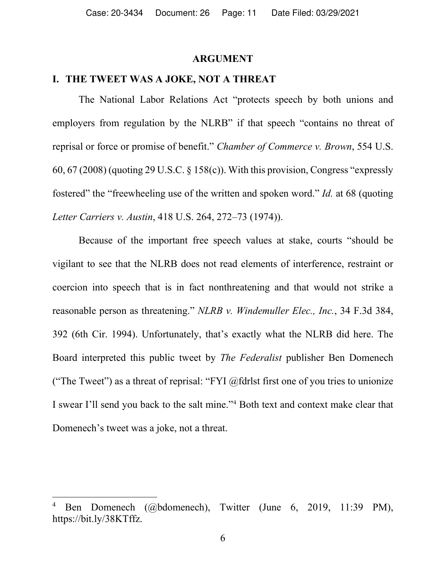#### **ARGUMENT**

### **I. THE TWEET WAS A JOKE, NOT A THREAT**

The National Labor Relations Act "protects speech by both unions and employers from regulation by the NLRB" if that speech "contains no threat of reprisal or force or promise of benefit." *Chamber of Commerce v. Brown*, 554 U.S. 60, 67 (2008) (quoting 29 U.S.C. § 158(c)). With this provision, Congress "expressly fostered" the "freewheeling use of the written and spoken word." *Id.* at 68 (quoting *Letter Carriers v. Austin*, 418 U.S. 264, 272–73 (1974)).

Because of the important free speech values at stake, courts "should be vigilant to see that the NLRB does not read elements of interference, restraint or coercion into speech that is in fact nonthreatening and that would not strike a reasonable person as threatening." *NLRB v. Windemuller Elec., Inc.*, 34 F.3d 384, 392 (6th Cir. 1994). Unfortunately, that's exactly what the NLRB did here. The Board interpreted this public tweet by *The Federalist* publisher Ben Domenech ("The Tweet") as a threat of reprisal: "FYI  $@$  fdrlst first one of you tries to unionize I swear I'll send you back to the salt mine."[4](#page-10-0) Both text and context make clear that Domenech's tweet was a joke, not a threat.

<span id="page-10-0"></span>Ben Domenech (@bdomenech), Twitter (June 6, 2019, 11:39 PM), https://bit.ly/38KTffz.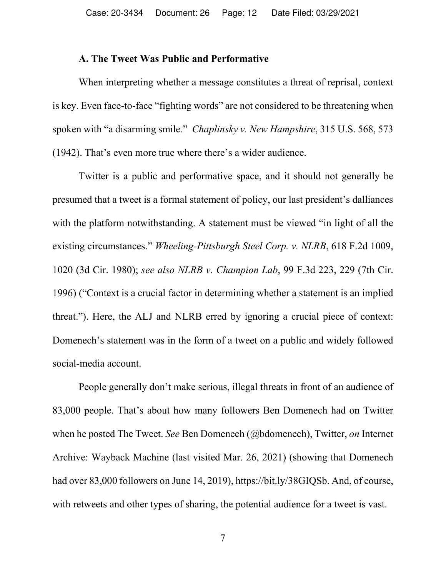#### **A. The Tweet Was Public and Performative**

When interpreting whether a message constitutes a threat of reprisal, context is key. Even face-to-face "fighting words" are not considered to be threatening when spoken with "a disarming smile." *Chaplinsky v. New Hampshire*, 315 U.S. 568, 573 (1942). That's even more true where there's a wider audience.

Twitter is a public and performative space, and it should not generally be presumed that a tweet is a formal statement of policy, our last president's dalliances with the platform notwithstanding. A statement must be viewed "in light of all the existing circumstances." *Wheeling-Pittsburgh Steel Corp. v. NLRB*, 618 F.2d 1009, 1020 (3d Cir. 1980); *see also NLRB v. Champion Lab*, 99 F.3d 223, 229 (7th Cir. 1996) ("Context is a crucial factor in determining whether a statement is an implied threat."). Here, the ALJ and NLRB erred by ignoring a crucial piece of context: Domenech's statement was in the form of a tweet on a public and widely followed social-media account.

People generally don't make serious, illegal threats in front of an audience of 83,000 people. That's about how many followers Ben Domenech had on Twitter when he posted The Tweet. *See* Ben Domenech (@bdomenech), Twitter, *on* Internet Archive: Wayback Machine (last visited Mar. 26, 2021) (showing that Domenech had over 83,000 followers on June 14, 2019), https://bit.ly/38GIQSb. And, of course, with retweets and other types of sharing, the potential audience for a tweet is vast.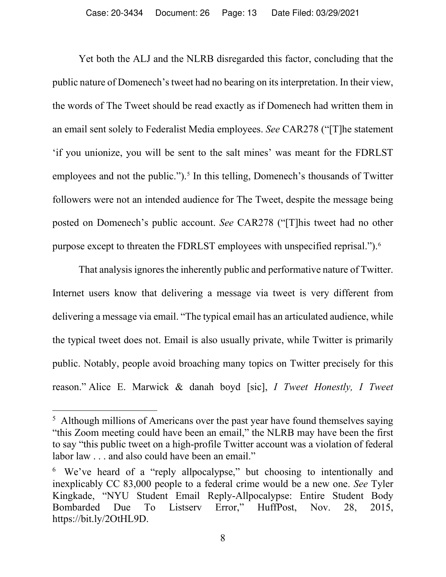Yet both the ALJ and the NLRB disregarded this factor, concluding that the public nature of Domenech's tweet had no bearing on its interpretation. In their view, the words of The Tweet should be read exactly as if Domenech had written them in an email sent solely to Federalist Media employees. *See* CAR278 ("[T]he statement 'if you unionize, you will be sent to the salt mines' was meant for the FDRLST employees and not the public.").<sup>[5](#page-12-0)</sup> In this telling, Domenech's thousands of Twitter followers were not an intended audience for The Tweet, despite the message being posted on Domenech's public account. *See* CAR278 ("[T]his tweet had no other purpose except to threaten the FDRLST employees with unspecified reprisal.").[6](#page-12-1)

That analysis ignores the inherently public and performative nature of Twitter. Internet users know that delivering a message via tweet is very different from delivering a message via email. "The typical email has an articulated audience, while the typical tweet does not. Email is also usually private, while Twitter is primarily public. Notably, people avoid broaching many topics on Twitter precisely for this reason." Alice E. Marwick & danah boyd [sic], *I Tweet Honestly, I Tweet* 

<span id="page-12-0"></span> $<sup>5</sup>$  Although millions of Americans over the past year have found themselves saying</sup> "this Zoom meeting could have been an email," the NLRB may have been the first to say "this public tweet on a high-profile Twitter account was a violation of federal labor law . . . and also could have been an email."

<span id="page-12-1"></span><sup>6</sup> We've heard of a "reply allpocalypse," but choosing to intentionally and inexplicably CC 83,000 people to a federal crime would be a new one. *See* Tyler Kingkade, "NYU Student Email Reply-Allpocalypse: Entire Student Body Bombarded Due To Listserv Error," HuffPost, Nov. 28, 2015, https://bit.ly/2OtHL9D.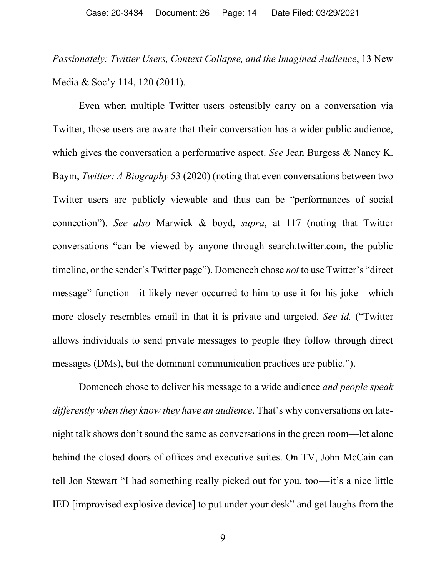*Passionately: Twitter Users, Context Collapse, and the Imagined Audience*, 13 New Media & Soc'y 114, 120 (2011).

Even when multiple Twitter users ostensibly carry on a conversation via Twitter, those users are aware that their conversation has a wider public audience, which gives the conversation a performative aspect. *See* Jean Burgess & Nancy K. Baym, *Twitter: A Biography* 53 (2020) (noting that even conversations between two Twitter users are publicly viewable and thus can be "performances of social connection"). *See also* Marwick & boyd, *supra*, at 117 (noting that Twitter conversations "can be viewed by anyone through search.twitter.com, the public timeline, or the sender's Twitter page"). Domenech chose *not* to use Twitter's "direct message" function—it likely never occurred to him to use it for his joke—which more closely resembles email in that it is private and targeted. *See id.* ("Twitter allows individuals to send private messages to people they follow through direct messages (DMs), but the dominant communication practices are public.").

Domenech chose to deliver his message to a wide audience *and people speak differently when they know they have an audience*. That's why conversations on latenight talk shows don't sound the same as conversations in the green room—let alone behind the closed doors of offices and executive suites. On TV, John McCain can tell Jon Stewart "I had something really picked out for you, too — it's a nice little IED [improvised explosive device] to put under your desk" and get laughs from the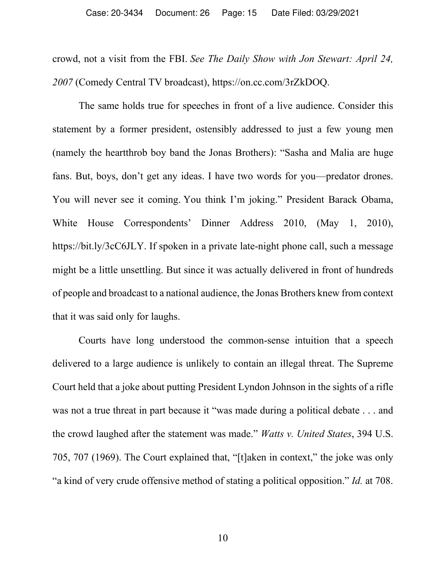crowd, not a visit from the FBI. *See The Daily Show with Jon Stewart: April 24, 2007* (Comedy Central TV broadcast), https://on.cc.com/3rZkDOQ.

The same holds true for speeches in front of a live audience. Consider this statement by a former president, ostensibly addressed to just a few young men (namely the heartthrob boy band the Jonas Brothers): "Sasha and Malia are huge fans. But, boys, don't get any ideas. I have two words for you—predator drones. You will never see it coming. You think I'm joking." President Barack Obama, White House Correspondents' Dinner Address 2010, (May 1, 2010), https://bit.ly/3cC6JLY. If spoken in a private late-night phone call, such a message might be a little unsettling. But since it was actually delivered in front of hundreds of people and broadcast to a national audience, the Jonas Brothers knew from context that it was said only for laughs.

Courts have long understood the common-sense intuition that a speech delivered to a large audience is unlikely to contain an illegal threat. The Supreme Court held that a joke about putting President Lyndon Johnson in the sights of a rifle was not a true threat in part because it "was made during a political debate . . . and the crowd laughed after the statement was made." *Watts v. United States*, 394 U.S. 705, 707 (1969). The Court explained that, "[t]aken in context," the joke was only "a kind of very crude offensive method of stating a political opposition." *Id.* at 708.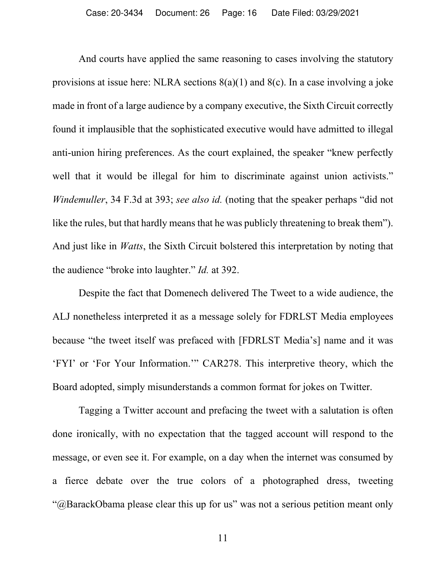And courts have applied the same reasoning to cases involving the statutory provisions at issue here: NLRA sections  $8(a)(1)$  and  $8(c)$ . In a case involving a joke made in front of a large audience by a company executive, the Sixth Circuit correctly found it implausible that the sophisticated executive would have admitted to illegal anti-union hiring preferences. As the court explained, the speaker "knew perfectly well that it would be illegal for him to discriminate against union activists." *Windemuller*, 34 F.3d at 393; *see also id.* (noting that the speaker perhaps "did not like the rules, but that hardly means that he was publicly threatening to break them"). And just like in *Watts*, the Sixth Circuit bolstered this interpretation by noting that the audience "broke into laughter." *Id.* at 392.

Despite the fact that Domenech delivered The Tweet to a wide audience, the ALJ nonetheless interpreted it as a message solely for FDRLST Media employees because "the tweet itself was prefaced with [FDRLST Media's] name and it was 'FYI' or 'For Your Information.'" CAR278. This interpretive theory, which the Board adopted, simply misunderstands a common format for jokes on Twitter.

Tagging a Twitter account and prefacing the tweet with a salutation is often done ironically, with no expectation that the tagged account will respond to the message, or even see it. For example, on a day when the internet was consumed by a fierce debate over the true colors of a photographed dress, tweeting "@BarackObama please clear this up for us" was not a serious petition meant only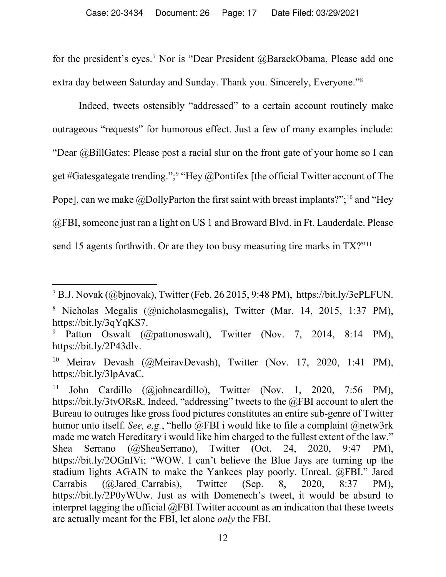for the president's eyes.<sup>[7](#page-16-0)</sup> Nor is "Dear President @BarackObama, Please add one extra day between Saturday and Sunday. Thank you. Sincerely, Everyone."[8](#page-16-1)

Indeed, tweets ostensibly "addressed" to a certain account routinely make outrageous "requests" for humorous effect. Just a few of many examples include: "Dear @BillGates: Please post a racial slur on the front gate of your home so I can get #Gatesgategate trending.";<sup>[9](#page-16-2)</sup> "Hey @Pontifex [the official Twitter account of The Pope], can we make  $\omega$ DollyParton the first saint with breast implants?";<sup>[10](#page-16-3)</sup> and "Hey @FBI, someone just ran a light on US 1 and Broward Blvd. in Ft. Lauderdale. Please send 15 agents forthwith. Or are they too busy measuring tire marks in TX?"<sup>[11](#page-16-4)</sup>

<span id="page-16-0"></span><sup>7</sup> B.J. Novak (@bjnovak), Twitter (Feb. 26 2015, 9:48 PM), https://bit.ly/3ePLFUN.

<span id="page-16-1"></span><sup>8</sup> Nicholas Megalis (@nicholasmegalis), Twitter (Mar. 14, 2015, 1:37 PM), https://bit.ly/3qYqKS7.

<span id="page-16-2"></span><sup>&</sup>lt;sup>9</sup> Patton Oswalt (@pattonoswalt), Twitter (Nov. 7, 2014, 8:14 PM), https://bit.ly/2P43dlv.

<span id="page-16-3"></span><sup>&</sup>lt;sup>10</sup> Meirav Devash (@MeiravDevash), Twitter (Nov. 17, 2020, 1:41 PM), https://bit.ly/3lpAvaC.

<span id="page-16-4"></span><sup>&</sup>lt;sup>11</sup> John Cardillo (@johncardillo), Twitter (Nov. 1, 2020, 7:56 PM), https://bit.ly/3tvORsR. Indeed, "addressing" tweets to the @FBI account to alert the Bureau to outrages like gross food pictures constitutes an entire sub-genre of Twitter humor unto itself. *See, e,g.*, "hello @FBI i would like to file a complaint @netw3rk made me watch Hereditary i would like him charged to the fullest extent of the law." Shea Serrano (@SheaSerrano), Twitter (Oct. 24, 2020, 9:47 PM), https://bit.ly/2OGnIVi; "WOW. I can't believe the Blue Jays are turning up the stadium lights AGAIN to make the Yankees play poorly. Unreal. @FBI." Jared Carrabis (@Jared\_Carrabis), Twitter (Sep. 8, 2020, 8:37 PM), https://bit.ly/2P0yWUw. Just as with Domenech's tweet, it would be absurd to interpret tagging the official @FBI Twitter account as an indication that these tweets are actually meant for the FBI, let alone *only* the FBI.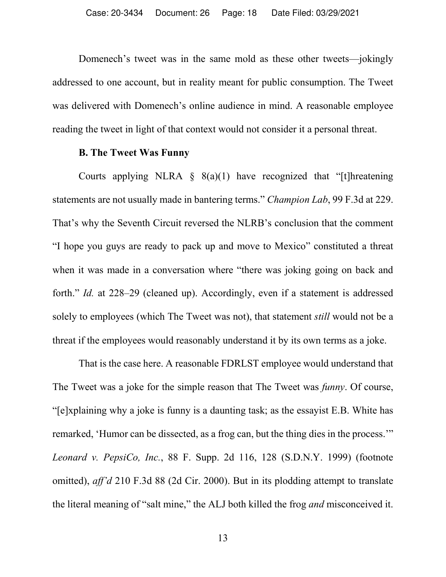Domenech's tweet was in the same mold as these other tweets—jokingly addressed to one account, but in reality meant for public consumption. The Tweet was delivered with Domenech's online audience in mind. A reasonable employee reading the tweet in light of that context would not consider it a personal threat.

#### **B. The Tweet Was Funny**

Courts applying NLRA  $\S$  8(a)(1) have recognized that "[t]hreatening statements are not usually made in bantering terms." *Champion Lab*, 99 F.3d at 229. That's why the Seventh Circuit reversed the NLRB's conclusion that the comment "I hope you guys are ready to pack up and move to Mexico" constituted a threat when it was made in a conversation where "there was joking going on back and forth." *Id.* at 228–29 (cleaned up). Accordingly, even if a statement is addressed solely to employees (which The Tweet was not), that statement *still* would not be a threat if the employees would reasonably understand it by its own terms as a joke.

That is the case here. A reasonable FDRLST employee would understand that The Tweet was a joke for the simple reason that The Tweet was *funny*. Of course, "[e]xplaining why a joke is funny is a daunting task; as the essayist E.B. White has remarked, 'Humor can be dissected, as a frog can, but the thing dies in the process.'" *Leonard v. PepsiCo, Inc.*, 88 F. Supp. 2d 116, 128 (S.D.N.Y. 1999) (footnote omitted), *aff'd* 210 F.3d 88 (2d Cir. 2000). But in its plodding attempt to translate the literal meaning of "salt mine," the ALJ both killed the frog *and* misconceived it.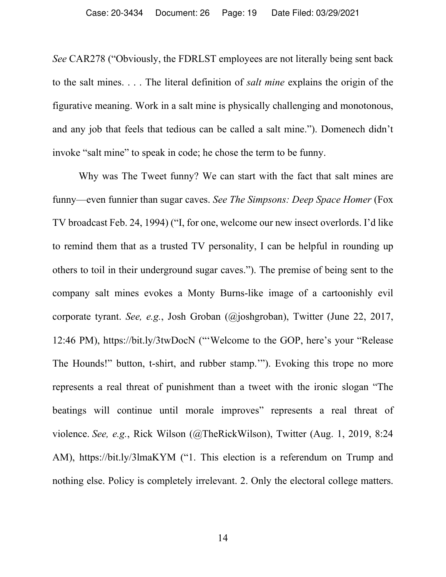*See* CAR278 ("Obviously, the FDRLST employees are not literally being sent back to the salt mines. . . . The literal definition of *salt mine* explains the origin of the figurative meaning. Work in a salt mine is physically challenging and monotonous, and any job that feels that tedious can be called a salt mine."). Domenech didn't invoke "salt mine" to speak in code; he chose the term to be funny.

Why was The Tweet funny? We can start with the fact that salt mines are funny—even funnier than sugar caves. *See The Simpsons: Deep Space Homer* (Fox TV broadcast Feb. 24, 1994) ("I, for one, welcome our new insect overlords. I'd like to remind them that as a trusted TV personality, I can be helpful in rounding up others to toil in their underground sugar caves."). The premise of being sent to the company salt mines evokes a Monty Burns-like image of a cartoonishly evil corporate tyrant. *See, e.g.*, Josh Groban (@joshgroban), Twitter (June 22, 2017, 12:46 PM), https://bit.ly/3twDocN ("'Welcome to the GOP, here's your "Release The Hounds!" button, t-shirt, and rubber stamp.'"). Evoking this trope no more represents a real threat of punishment than a tweet with the ironic slogan "The beatings will continue until morale improves" represents a real threat of violence. *See, e.g.*, Rick Wilson (@TheRickWilson), Twitter (Aug. 1, 2019, 8:24 AM), https://bit.ly/3lmaKYM ("1. This election is a referendum on Trump and nothing else. Policy is completely irrelevant. 2. Only the electoral college matters.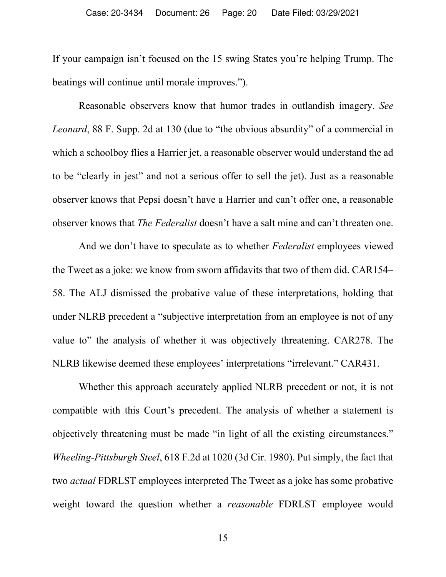If your campaign isn't focused on the 15 swing States you're helping Trump. The beatings will continue until morale improves.").

Reasonable observers know that humor trades in outlandish imagery. *See Leonard*, 88 F. Supp. 2d at 130 (due to "the obvious absurdity" of a commercial in which a schoolboy flies a Harrier jet, a reasonable observer would understand the ad to be "clearly in jest" and not a serious offer to sell the jet). Just as a reasonable observer knows that Pepsi doesn't have a Harrier and can't offer one, a reasonable observer knows that *The Federalist* doesn't have a salt mine and can't threaten one.

And we don't have to speculate as to whether *Federalist* employees viewed the Tweet as a joke: we know from sworn affidavits that two of them did. CAR154– 58. The ALJ dismissed the probative value of these interpretations, holding that under NLRB precedent a "subjective interpretation from an employee is not of any value to" the analysis of whether it was objectively threatening. CAR278. The NLRB likewise deemed these employees' interpretations "irrelevant." CAR431.

Whether this approach accurately applied NLRB precedent or not, it is not compatible with this Court's precedent. The analysis of whether a statement is objectively threatening must be made "in light of all the existing circumstances." *Wheeling-Pittsburgh Steel*, 618 F.2d at 1020 (3d Cir. 1980). Put simply, the fact that two *actual* FDRLST employees interpreted The Tweet as a joke has some probative weight toward the question whether a *reasonable* FDRLST employee would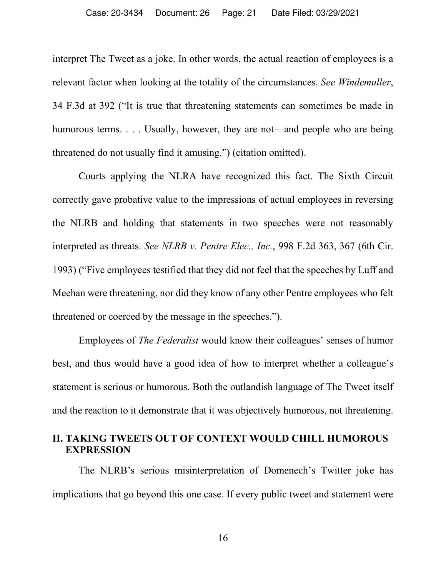interpret The Tweet as a joke. In other words, the actual reaction of employees is a relevant factor when looking at the totality of the circumstances. *See Windemuller*, 34 F.3d at 392 ("It is true that threatening statements can sometimes be made in humorous terms. . . . Usually, however, they are not—and people who are being threatened do not usually find it amusing.") (citation omitted).

Courts applying the NLRA have recognized this fact. The Sixth Circuit correctly gave probative value to the impressions of actual employees in reversing the NLRB and holding that statements in two speeches were not reasonably interpreted as threats. *See NLRB v. Pentre Elec., Inc.*, 998 F.2d 363, 367 (6th Cir. 1993) ("Five employees testified that they did not feel that the speeches by Luff and Meehan were threatening, nor did they know of any other Pentre employees who felt threatened or coerced by the message in the speeches.").

Employees of *The Federalist* would know their colleagues' senses of humor best, and thus would have a good idea of how to interpret whether a colleague's statement is serious or humorous. Both the outlandish language of The Tweet itself and the reaction to it demonstrate that it was objectively humorous, not threatening.

### **II. TAKING TWEETS OUT OF CONTEXT WOULD CHILL HUMOROUS EXPRESSION**

The NLRB's serious misinterpretation of Domenech's Twitter joke has implications that go beyond this one case. If every public tweet and statement were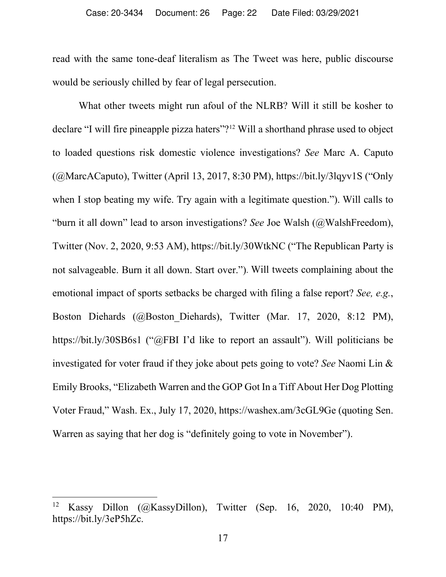read with the same tone-deaf literalism as The Tweet was here, public discourse would be seriously chilled by fear of legal persecution.

What other tweets might run afoul of the NLRB? Will it still be kosher to declare "I will fire pineapple pizza haters"?[12](#page-21-0) Will a shorthand phrase used to object to loaded questions risk domestic violence investigations? *See* Marc A. Caputo (@MarcACaputo), Twitter (April 13, 2017, 8:30 PM), https://bit.ly/3lqyv1S ("Only when I stop beating my wife. Try again with a legitimate question."). Will calls to "burn it all down" lead to arson investigations? *See* Joe Walsh (@WalshFreedom), Twitter (Nov. 2, 2020, 9:53 AM), https://bit.ly/30WtkNC ("The Republican Party is not salvageable. Burn it all down. Start over."). Will tweets complaining about the emotional impact of sports setbacks be charged with filing a false report? *See, e.g.*, Boston Diehards (@Boston Diehards), Twitter (Mar. 17, 2020, 8:12 PM), https://bit.ly/30SB6s1 ("@FBI I'd like to report an assault"). Will politicians be investigated for voter fraud if they joke about pets going to vote? *See* Naomi Lin & Emily Brooks, "Elizabeth Warren and the GOP Got In a Tiff About Her Dog Plotting Voter Fraud," Wash. Ex., July 17, 2020, https://washex.am/3cGL9Ge (quoting Sen. Warren as saying that her dog is "definitely going to vote in November").

<span id="page-21-0"></span><sup>12</sup> Kassy Dillon (@KassyDillon), Twitter (Sep. 16, 2020, 10:40 PM), https://bit.ly/3eP5hZc.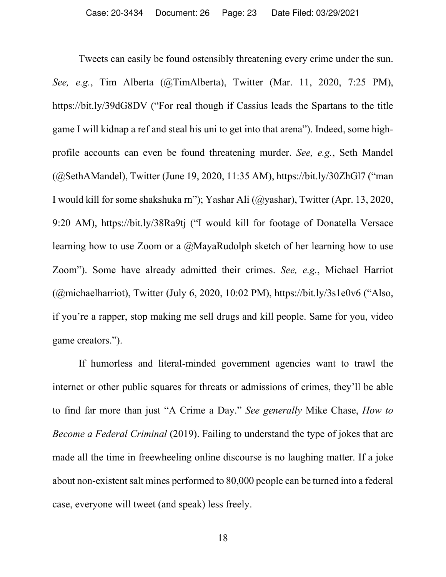Tweets can easily be found ostensibly threatening every crime under the sun. *See, e.g.*, Tim Alberta (@TimAlberta), Twitter (Mar. 11, 2020, 7:25 PM), https://bit.ly/39dG8DV ("For real though if Cassius leads the Spartans to the title game I will kidnap a ref and steal his uni to get into that arena"). Indeed, some highprofile accounts can even be found threatening murder. *See, e.g.*, Seth Mandel (@SethAMandel), Twitter (June 19, 2020, 11:35 AM), https://bit.ly/30ZhGl7 ("man I would kill for some shakshuka rn"); Yashar Ali (@yashar), Twitter (Apr. 13, 2020, 9:20 AM), https://bit.ly/38Ra9tj ("I would kill for footage of Donatella Versace learning how to use Zoom or a @MayaRudolph sketch of her learning how to use Zoom"). Some have already admitted their crimes. *See, e.g.*, Michael Harriot  $(Qmichaelharriot)$ , Twitter (July 6, 2020, 10:02 PM), https://bit.ly/3s1e0v6 ("Also, if you're a rapper, stop making me sell drugs and kill people. Same for you, video game creators.").

If humorless and literal-minded government agencies want to trawl the internet or other public squares for threats or admissions of crimes, they'll be able to find far more than just "A Crime a Day." *See generally* Mike Chase, *How to Become a Federal Criminal* (2019). Failing to understand the type of jokes that are made all the time in freewheeling online discourse is no laughing matter. If a joke about non-existent salt mines performed to 80,000 people can be turned into a federal case, everyone will tweet (and speak) less freely.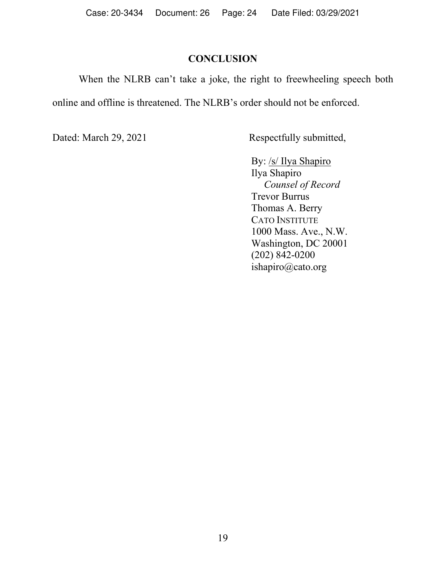## **CONCLUSION**

When the NLRB can't take a joke, the right to freewheeling speech both online and offline is threatened. The NLRB's order should not be enforced.

Dated: March 29, 2021 Respectfully submitted,

By: /s/ Ilya Shapiro Ilya Shapiro  *Counsel of Record* Trevor Burrus Thomas A. Berry CATO INSTITUTE 1000 Mass. Ave., N.W. Washington, DC 20001 (202) 842-0200 ishapiro@cato.org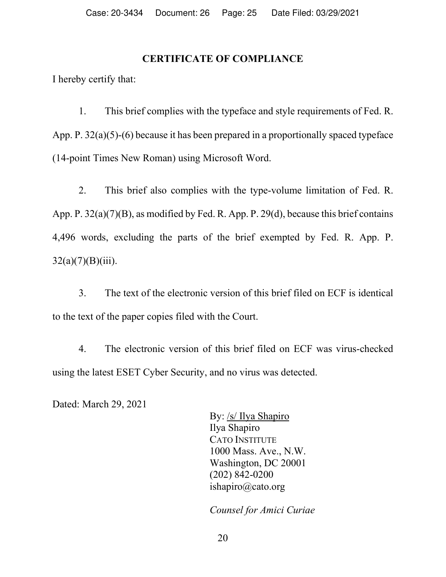#### **CERTIFICATE OF COMPLIANCE**

I hereby certify that:

1. This brief complies with the typeface and style requirements of Fed. R. App. P. 32(a)(5)-(6) because it has been prepared in a proportionally spaced typeface (14-point Times New Roman) using Microsoft Word.

2. This brief also complies with the type-volume limitation of Fed. R. App. P. 32(a)(7)(B), as modified by Fed. R. App. P. 29(d), because this brief contains 4,496 words, excluding the parts of the brief exempted by Fed. R. App. P.  $32(a)(7)(B)(iii)$ .

3. The text of the electronic version of this brief filed on ECF is identical to the text of the paper copies filed with the Court.

4. The electronic version of this brief filed on ECF was virus-checked using the latest ESET Cyber Security, and no virus was detected.

Dated: March 29, 2021

By: /s/ Ilya Shapiro Ilya Shapiro CATO INSTITUTE 1000 Mass. Ave., N.W. Washington, DC 20001 (202) 842-0200 ishapiro@cato.org

*Counsel for Amici Curiae*

20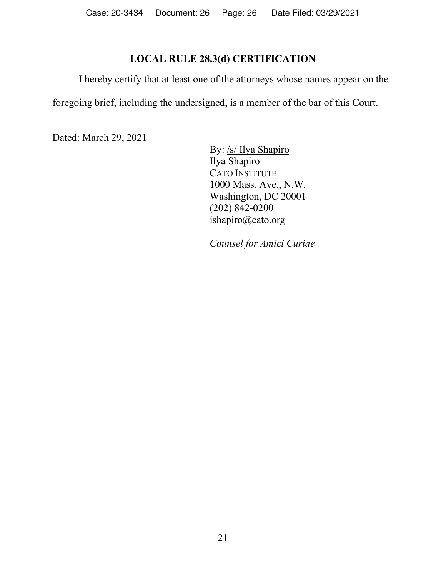Case: 20-3434 Document: 26 Page: 26 Date Filed: 03/29/2021

### **LOCAL RULE 28.3(d) CERTIFICATION**

I hereby certify that at least one of the attorneys whose names appear on the

foregoing brief, including the undersigned, is a member of the bar of this Court.

Dated: March 29, 2021

By: /s/ Ilya Shapiro Ilya Shapiro CATO INSTITUTE 1000 Mass. Ave., N.W. Washington, DC 20001 (202) 842-0200 ishapiro@cato.org

*Counsel for Amici Curiae*